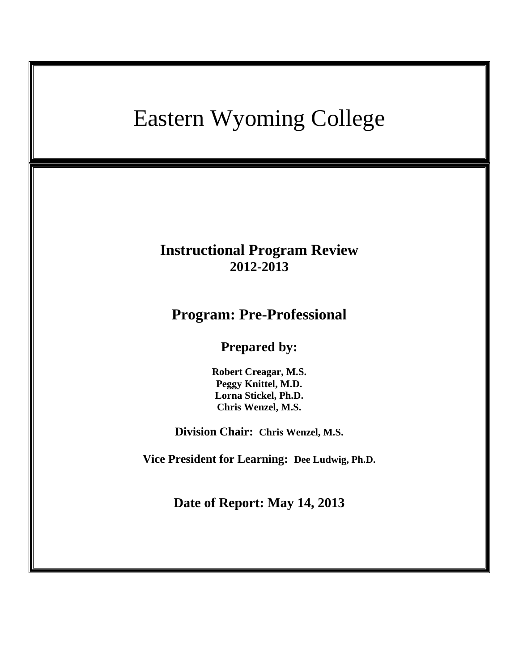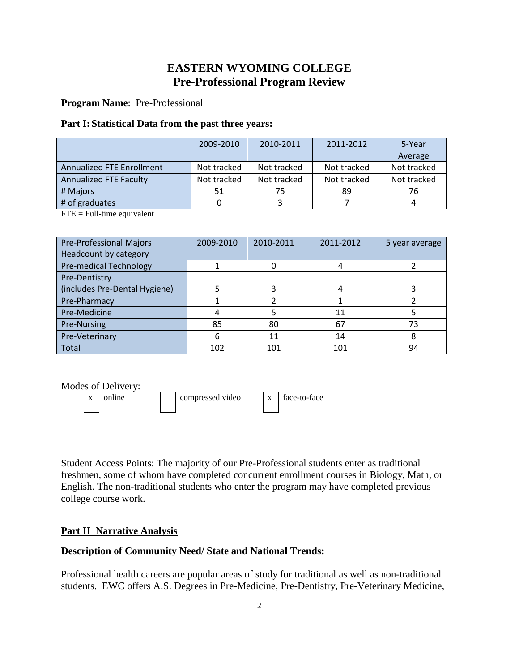# **EASTERN WYOMING COLLEGE Pre-Professional Program Review**

**Program Name**: Pre-Professional

#### **Part I: Statistical Data from the past three years:**

|                                  | 2009-2010   | 2010-2011   | 2011-2012   | 5-Year      |
|----------------------------------|-------------|-------------|-------------|-------------|
|                                  |             |             |             | Average     |
| <b>Annualized FTE Enrollment</b> | Not tracked | Not tracked | Not tracked | Not tracked |
| <b>Annualized FTE Faculty</b>    | Not tracked | Not tracked | Not tracked | Not tracked |
| # Majors                         | 51          | 75          | 89          | 76          |
| # of graduates                   |             |             |             |             |

 $FTE = Full-time equivalent$ 

| <b>Pre-Professional Majors</b> | 2009-2010 | 2010-2011 | 2011-2012 | 5 year average |
|--------------------------------|-----------|-----------|-----------|----------------|
| Headcount by category          |           |           |           |                |
| Pre-medical Technology         |           |           |           |                |
| Pre-Dentistry                  |           |           |           |                |
| (includes Pre-Dental Hygiene)  |           |           |           |                |
| Pre-Pharmacy                   |           |           |           |                |
| Pre-Medicine                   |           |           | 11        |                |
| Pre-Nursing                    | 85        | 80        | 67        | 73             |
| Pre-Veterinary                 | 6         | 11        | 14        | 8              |
| <b>Total</b>                   | 102       | 101       | 101       | 94             |

Modes of Delivery:

 $x \mid \text{online}$  | compressed video  $x \mid \text{face-to-face}$ 

Student Access Points: The majority of our Pre-Professional students enter as traditional freshmen, some of whom have completed concurrent enrollment courses in Biology, Math, or English. The non-traditional students who enter the program may have completed previous college course work.

# **Part II Narrative Analysis**

#### **Description of Community Need/ State and National Trends:**

Professional health careers are popular areas of study for traditional as well as non-traditional students. EWC offers A.S. Degrees in Pre-Medicine, Pre-Dentistry, Pre-Veterinary Medicine,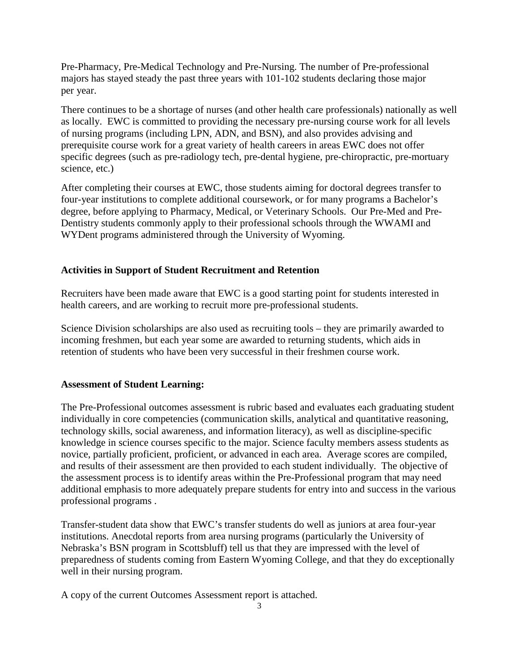Pre-Pharmacy, Pre-Medical Technology and Pre-Nursing. The number of Pre-professional majors has stayed steady the past three years with 101-102 students declaring those major per year.

There continues to be a shortage of nurses (and other health care professionals) nationally as well as locally. EWC is committed to providing the necessary pre-nursing course work for all levels of nursing programs (including LPN, ADN, and BSN), and also provides advising and prerequisite course work for a great variety of health careers in areas EWC does not offer specific degrees (such as pre-radiology tech, pre-dental hygiene, pre-chiropractic, pre-mortuary science, etc.)

After completing their courses at EWC, those students aiming for doctoral degrees transfer to four-year institutions to complete additional coursework, or for many programs a Bachelor's degree, before applying to Pharmacy, Medical, or Veterinary Schools. Our Pre-Med and Pre-Dentistry students commonly apply to their professional schools through the WWAMI and WYDent programs administered through the University of Wyoming.

# **Activities in Support of Student Recruitment and Retention**

Recruiters have been made aware that EWC is a good starting point for students interested in health careers, and are working to recruit more pre-professional students.

Science Division scholarships are also used as recruiting tools – they are primarily awarded to incoming freshmen, but each year some are awarded to returning students, which aids in retention of students who have been very successful in their freshmen course work.

# **Assessment of Student Learning:**

The Pre-Professional outcomes assessment is rubric based and evaluates each graduating student individually in core competencies (communication skills, analytical and quantitative reasoning, technology skills, social awareness, and information literacy), as well as discipline-specific knowledge in science courses specific to the major. Science faculty members assess students as novice, partially proficient, proficient, or advanced in each area. Average scores are compiled, and results of their assessment are then provided to each student individually. The objective of the assessment process is to identify areas within the Pre-Professional program that may need additional emphasis to more adequately prepare students for entry into and success in the various professional programs .

Transfer-student data show that EWC's transfer students do well as juniors at area four-year institutions. Anecdotal reports from area nursing programs (particularly the University of Nebraska's BSN program in Scottsbluff) tell us that they are impressed with the level of preparedness of students coming from Eastern Wyoming College, and that they do exceptionally well in their nursing program.

A copy of the current Outcomes Assessment report is attached.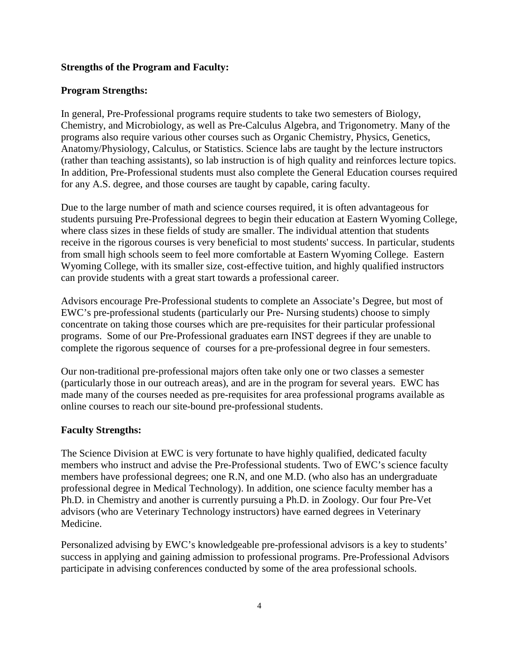#### **Strengths of the Program and Faculty:**

#### **Program Strengths:**

In general, Pre-Professional programs require students to take two semesters of Biology, Chemistry, and Microbiology, as well as Pre-Calculus Algebra, and Trigonometry. Many of the programs also require various other courses such as Organic Chemistry, Physics, Genetics, Anatomy/Physiology, Calculus, or Statistics. Science labs are taught by the lecture instructors (rather than teaching assistants), so lab instruction is of high quality and reinforces lecture topics. In addition, Pre-Professional students must also complete the General Education courses required for any A.S. degree, and those courses are taught by capable, caring faculty.

Due to the large number of math and science courses required, it is often advantageous for students pursuing Pre-Professional degrees to begin their education at Eastern Wyoming College, where class sizes in these fields of study are smaller. The individual attention that students receive in the rigorous courses is very beneficial to most students' success. In particular, students from small high schools seem to feel more comfortable at Eastern Wyoming College. Eastern Wyoming College, with its smaller size, cost-effective tuition, and highly qualified instructors can provide students with a great start towards a professional career.

Advisors encourage Pre-Professional students to complete an Associate's Degree, but most of EWC's pre-professional students (particularly our Pre- Nursing students) choose to simply concentrate on taking those courses which are pre-requisites for their particular professional programs. Some of our Pre-Professional graduates earn INST degrees if they are unable to complete the rigorous sequence of courses for a pre-professional degree in four semesters.

Our non-traditional pre-professional majors often take only one or two classes a semester (particularly those in our outreach areas), and are in the program for several years. EWC has made many of the courses needed as pre-requisites for area professional programs available as online courses to reach our site-bound pre-professional students.

#### **Faculty Strengths:**

The Science Division at EWC is very fortunate to have highly qualified, dedicated faculty members who instruct and advise the Pre-Professional students. Two of EWC's science faculty members have professional degrees; one R.N, and one M.D. (who also has an undergraduate professional degree in Medical Technology). In addition, one science faculty member has a Ph.D. in Chemistry and another is currently pursuing a Ph.D. in Zoology. Our four Pre-Vet advisors (who are Veterinary Technology instructors) have earned degrees in Veterinary Medicine.

Personalized advising by EWC's knowledgeable pre-professional advisors is a key to students' success in applying and gaining admission to professional programs. Pre-Professional Advisors participate in advising conferences conducted by some of the area professional schools.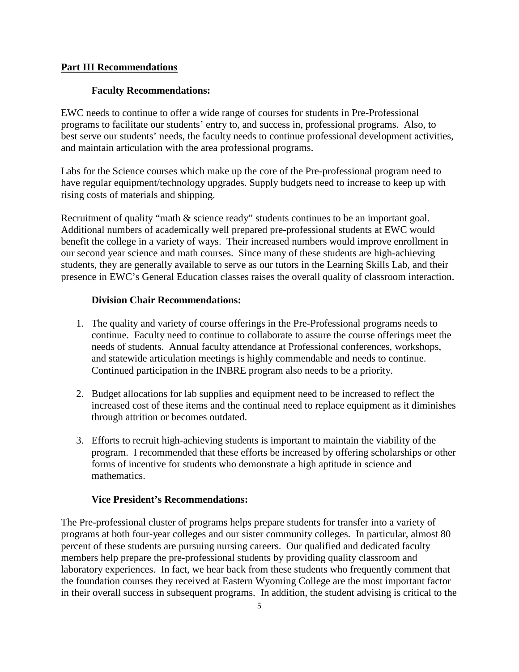### **Part III Recommendations**

### **Faculty Recommendations:**

EWC needs to continue to offer a wide range of courses for students in Pre-Professional programs to facilitate our students' entry to, and success in, professional programs. Also, to best serve our students' needs, the faculty needs to continue professional development activities, and maintain articulation with the area professional programs.

Labs for the Science courses which make up the core of the Pre-professional program need to have regular equipment/technology upgrades. Supply budgets need to increase to keep up with rising costs of materials and shipping.

Recruitment of quality "math & science ready" students continues to be an important goal. Additional numbers of academically well prepared pre-professional students at EWC would benefit the college in a variety of ways. Their increased numbers would improve enrollment in our second year science and math courses. Since many of these students are high-achieving students, they are generally available to serve as our tutors in the Learning Skills Lab, and their presence in EWC's General Education classes raises the overall quality of classroom interaction.

#### **Division Chair Recommendations:**

- 1. The quality and variety of course offerings in the Pre-Professional programs needs to continue. Faculty need to continue to collaborate to assure the course offerings meet the needs of students. Annual faculty attendance at Professional conferences, workshops, and statewide articulation meetings is highly commendable and needs to continue. Continued participation in the INBRE program also needs to be a priority.
- 2. Budget allocations for lab supplies and equipment need to be increased to reflect the increased cost of these items and the continual need to replace equipment as it diminishes through attrition or becomes outdated.
- 3. Efforts to recruit high-achieving students is important to maintain the viability of the program. I recommended that these efforts be increased by offering scholarships or other forms of incentive for students who demonstrate a high aptitude in science and mathematics.

#### **Vice President's Recommendations:**

The Pre-professional cluster of programs helps prepare students for transfer into a variety of programs at both four-year colleges and our sister community colleges. In particular, almost 80 percent of these students are pursuing nursing careers. Our qualified and dedicated faculty members help prepare the pre-professional students by providing quality classroom and laboratory experiences. In fact, we hear back from these students who frequently comment that the foundation courses they received at Eastern Wyoming College are the most important factor in their overall success in subsequent programs. In addition, the student advising is critical to the